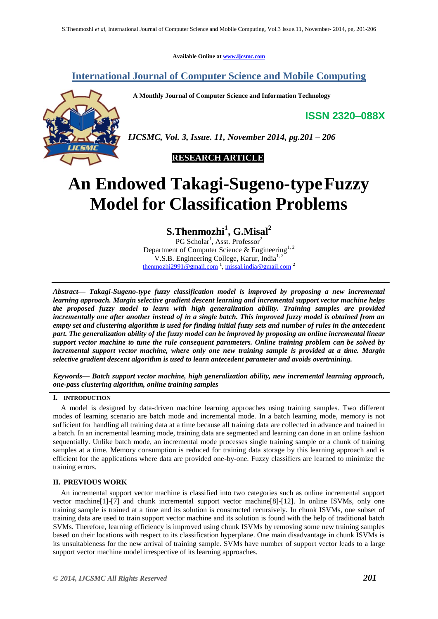**Available Online at [www.ijcsmc.com](http://www.ijcsmc.com/)**

# **International Journal of Computer Science and Mobile Computing**

 **A Monthly Journal of Computer Science and Information Technology**

**ISSN 2320–088X**



*IJCSMC, Vol. 3, Issue. 11, November 2014, pg.201 – 206*



# **An Endowed Takagi-Sugeno-typeFuzzy Model for Classification Problems**

**S.Thenmozhi<sup>1</sup> , G.Misal<sup>2</sup>**

PG Scholar<sup>1</sup>, Asst. Professor<sup>2</sup> Department of Computer Science & Engineering<sup>1, 2</sup> V.S.B. Engineering College, Karur, India<sup>1,</sup>  $\underline{\text{then}}$ mozhi2991@gmail.com<sup>1</sup>, [missal.india@gmail.com](mailto:missal.india@gmail.com)<sup>2</sup>

*Abstract— Takagi-Sugeno-type fuzzy classification model is improved by proposing a new incremental learning approach. Margin selective gradient descent learning and incremental support vector machine helps the proposed fuzzy model to learn with high generalization ability. Training samples are provided incrementally one after another instead of in a single batch. This improved fuzzy model is obtained from an empty set and clustering algorithm is used for finding initial fuzzy sets and number of rules in the antecedent part. The generalization ability of the fuzzy model can be improved by proposing an online incremental linear support vector machine to tune the rule consequent parameters. Online training problem can be solved by incremental support vector machine, where only one new training sample is provided at a time. Margin selective gradient descent algorithm is used to learn antecedent parameter and avoids overtraining.*

*Keywords— Batch support vector machine, high generalization ability, new incremental learning approach, one-pass clustering algorithm, online training samples*

### **I. INTRODUCTION**

A model is designed by data-driven machine learning approaches using training samples. Two different modes of learning scenario are batch mode and incremental mode. In a batch learning mode, memory is not sufficient for handling all training data at a time because all training data are collected in advance and trained in a batch. In an incremental learning mode, training data are segmented and learning can done in an online fashion sequentially. Unlike batch mode, an incremental mode processes single training sample or a chunk of training samples at a time. Memory consumption is reduced for training data storage by this learning approach and is efficient for the applications where data are provided one-by-one. Fuzzy classifiers are learned to minimize the training errors.

# **II. PREVIOUS WORK**

An incremental support vector machine is classified into two categories such as online incremental support vector machine[1]-[7] and chunk incremental support vector machine[8]-[12]. In online ISVMs, only one training sample is trained at a time and its solution is constructed recursively. In chunk ISVMs, one subset of training data are used to train support vector machine and its solution is found with the help of traditional batch SVMs. Therefore, learning efficiency is improved using chunk ISVMs by removing some new training samples based on their locations with respect to its classification hyperplane. One main disadvantage in chunk ISVMs is its unsuitableness for the new arrival of training sample. SVMs have number of support vector leads to a large support vector machine model irrespective of its learning approaches.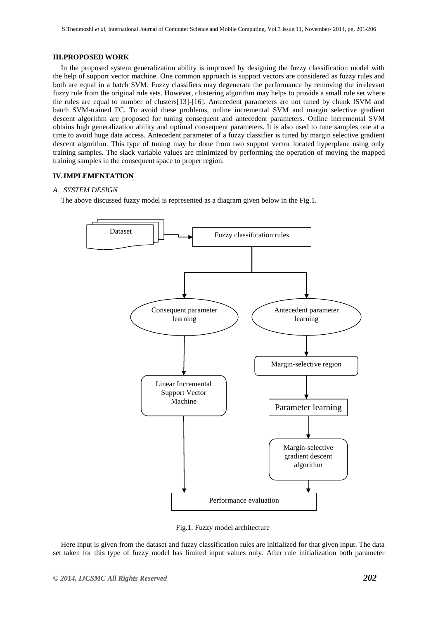## **III.PROPOSED WORK**

In the proposed system generalization ability is improved by designing the fuzzy classification model with the help of support vector machine. One common approach is support vectors are considered as fuzzy rules and both are equal in a batch SVM. Fuzzy classifiers may degenerate the performance by removing the irrelevant fuzzy rule from the original rule sets. However, clustering algorithm may helps to provide a small rule set where the rules are equal to number of clusters[13]-[16]. Antecedent parameters are not tuned by chunk ISVM and batch SVM-trained FC. To avoid these problems, online incremental SVM and margin selective gradient descent algorithm are proposed for tuning consequent and antecedent parameters. Online incremental SVM obtains high generalization ability and optimal consequent parameters. It is also used to tune samples one at a time to avoid huge data access. Antecedent parameter of a fuzzy classifier is tuned by margin selective gradient descent algorithm. This type of tuning may be done from two support vector located hyperplane using only training samples. The slack variable values are minimized by performing the operation of moving the mapped training samples in the consequent space to proper region.

# **IV.IMPLEMENTATION**

# *A. SYSTEM DESIGN*

The above discussed fuzzy model is represented as a diagram given below in the Fig.1.



Fig.1. Fuzzy model architecture

Here input is given from the dataset and fuzzy classification rules are initialized for that given input. The data set taken for this type of fuzzy model has limited input values only. After rule initialization both parameter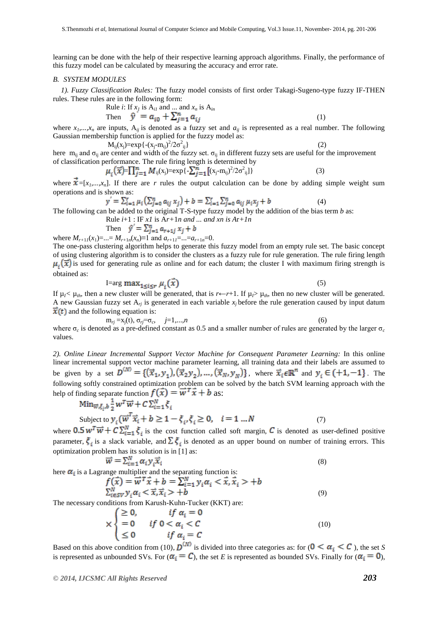learning can be done with the help of their respective learning approach algorithms. Finally, the performance of this fuzzy model can be calculated by measuring the accuracy and error rate.

#### *B. SYSTEM MODULES*

y

*1). Fuzzy Classification Rules:* The fuzzy model consists of first order Takagi-Sugeno-type fuzzy IF-THEN rules. These rules are in the following form:

Rule *i*: If 
$$
x_j
$$
 is  $A_{i,j}$  and ... and  $x_n$  is  $A_{in}$ 

Then 
$$
\hat{y} = a_{i0} + \sum_{j=1}^{n} a_{ij}
$$
 (1)  
are inputs. A is denoted as a fuzzy set and a, is represented as a real number. The

where  $x_1, \ldots, x_n$  are inputs,  $A_{ij}$  is denoted as a fuzzy set and  $a_{ij}$  is represented as a real number. The following Gaussian membership function is applied for the fuzzy model as:

 $M_{ij}(x_j) = exp{-\frac{(x_j - m_{ij})^2}{2\sigma^2}}$  $\{i\}$  (2) here  $m_{ij}$  and  $\sigma_{ij}$  are center and width of the fuzzy set.  $\sigma_{ij}$  in different fuzzy sets are useful for the improvement of classification performance. The rule firing length is determined by

$$
u_i(\vec{x}) = \prod_{j=1}^n M_{ij}(x_j) = \exp\{-\sum_{j=1}^n \left[ (x_j - m_{ij})^2 / 2\sigma^2_{ij} \right] \} \tag{3}
$$

where  $\vec{x}$  =[ $x_1$ ,..., $x_n$ ]. If there are *r* rules the output calculation can be done by adding simple weight sum operations and is shown as:

$$
V = \sum_{i=1}^{r} \mu_i \left( \sum_{j=0}^{n} a_{ij} x_j \right) + b = \sum_{i=1}^{r} \sum_{j=0}^{n} a_{ij} \mu_i x_j + b \tag{4}
$$

The following can be added to the original T-S-type fuzzy model by the addition of the bias term *b* as:

Rule *i*+1 : IF *x1* is A*r+*1*n and ... and xn is A*r*+1n*

Then 
$$
\hat{y} = \sum_{j=1}^{n} a_{r+1j} x_j + b
$$
  
where  $M_{r+1,l}(x_1) = ... = M_{r+1,n}(x_n) \equiv 1$  and  $a_{r+1,l} = ... = a_{r+1,n} = 0$ .

The one-pass clustering algorithm helps to generate this fuzzy model from an empty rule set. The basic concept of using clustering algorithm is to consider the clusters as a fuzzy rule for rule generation. The rule firing length  $\mu_i(\vec{x})$  is used for generating rule as online and for each datum; the cluster I with maximum firing strength is obtained as:

$$
I = arg max_{1 \le i \le r} \mu_i(\bar{x})
$$
\n<sup>(5)</sup>

If  $\mu_1 < \mu_1$ , then a new cluster will be generated, that is  $r \leftarrow r+1$ . If  $\mu_1 > \mu_1$ , then no new cluster will be generated. A new Gaussian fuzzy set  $A_{rj}$  is generated in each variable  $x_j$  before the rule generation caused by input datum  $\vec{x}(t)$  and the following equation is:

 $m_{rj} = x_j(t), \sigma_{rj} = \sigma_c, \quad j = 1,...,n$  (6) where σ*<sup>c</sup>* is denoted as a pre-defined constant as 0.5 and a smaller number of rules are generated by the larger σ*<sup>c</sup>* values.

*2). Online Linear Incremental Support Vector Machine for Consequent Parameter Learning:* In this online linear incremental support vector machine parameter learning, all training data and their labels are assumed to be given by a set  $D^{(N)} = \{(\vec{x}_1, y_1), (\vec{x}_2, y_2), \dots, (\vec{x}_N, y_N)\}\$ , where  $\vec{x}_i \in \mathbb{R}^n$  and  $y_i \in \{-1, -1\}$ . The following softly constrained optimization problem can be solved by the batch SVM learning approach with the help of finding separate function  $f(\vec{x}) = \vec{w}^T \vec{x} + \vec{b}$  as:

Min<sub>$$
\overline{w}
$$</sub> $\xi_i, b^{\frac{1}{2}} w^T \overrightarrow{w} + C \sum_{i=1}^N \xi_i$   
Subject to  $y_i (\overrightarrow{w}^T \overrightarrow{x}_i + b \ge 1 - \xi_i, \xi_i \ge 0, \quad i = 1 ... N$  (7)

where  $0.5 w^T \overrightarrow{w} + C \sum_{i=1}^N \xi_i$  is the cost function called soft margin, C is denoted as user-defined positive parameter,  $\xi_i$  is a slack variable, and  $\Sigma \xi_i$  is denoted as an upper bound on number of training errors. This optimization problem has its solution is in [1] as:

$$
\overrightarrow{w} = \sum_{i=1}^{N} \alpha_i y_i \overrightarrow{x}_i
$$
\n(8)

\nhere  $\alpha_i$  is a Lagrange multiplier and the separating function is:

\n
$$
f(\overrightarrow{x}) = \overrightarrow{w}^T \overrightarrow{x} + h = \sum_{i=1}^{N} y_i \alpha_i \leq \overrightarrow{x} \overrightarrow{x} + h
$$

$$
T(x) = W \cdot x + b = \sum_{i=1}^{n} y_i \alpha_i < x, x_i > +b
$$
  
\n
$$
\sum_{i \in SV}^{N} y_i \alpha_i < \overrightarrow{x}, \overrightarrow{x}_i > +b
$$
 (9)

The necessary conditions from Karush-Kuhn-Tucker (KKT) are:

$$
\times \begin{cases} \geq 0, & \text{if } \alpha_i = 0 \\ = 0 & \text{if } 0 < \alpha_i < C \\ \leq 0 & \text{if } \alpha_i = C \end{cases} \tag{10}
$$

Based on this above condition from (10),  $D^{(N)}$  is divided into three categories as: for  $(0 \lt \alpha_i \lt C)$ , the set *S* is represented as unbounded SVs. For  $(\alpha_i = C)$ , the set *E* is represented as bounded SVs. Finally for  $(\alpha_i = 0)$ ,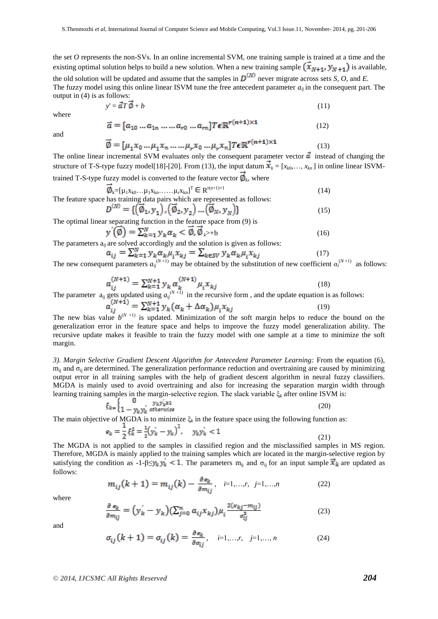the set *O* represents the non-SVs. In an online incremental SVM, one training sample is trained at a time and the existing optimal solution helps to build a new solution. When a new training sample  $(\bar{x}_{N+1}, y_{N+1})$  is available, the old solution will be updated and assume that the samples in  $D^{(N)}$  never migrate across sets *S*, *O*, and *E*. The fuzzy model using this online linear ISVM tune the free antecedent parameter  $a_{ii}$  in the consequent part. The output in (4) is as follows:

$$
y' = \vec{a}T\vec{\phi} + b \tag{11}
$$

where

$$
\vec{a} = [a_{10} \dots a_{1n} \dots a_{r0} \dots a_{rn}] T \epsilon \mathbb{R}^{r(n+1) \times 1}
$$
 (12)

and

$$
\vec{\emptyset} = [\mu_1 x_0 \dots \mu_1 x_n \dots \dots \mu_r x_0 \dots \mu_r x_n] T \epsilon \mathbb{R}^{r(n+1) \times 1}
$$
\n(13)

The online linear incremental SVM evaluates only the consequent parameter vector  $\vec{a}$  instead of changing the structure of T-S-type fuzzy model[18]-[20]. From (13), the input datum  $\vec{x}_k = [x_{k0},..., x_{kn}]$  in online linear ISVMtrained T-S-type fuzzy model is converted to the feature vector  $\phi_k$ , where

 $\phi_k = [\mu_1 x_{k0} \dots \mu_1 x_{kn} \dots \mu_r x_{kn}]^T \in R^{r(n+1) \times 1}$  (14) The feature space has training data pairs which are represented as follows:

$$
D^{(N)} = \{ (\vec{\phi}_1, y_1), (\vec{\phi}_2, y_2), \dots, (\vec{\phi}_N, y_N) \}
$$
(15)

The optimal linear separating function in the feature space from (9) is

$$
y'(\overline{\emptyset}) = \sum_{k=1}^{N} y_k \alpha_k < \overline{\emptyset}, \overline{\emptyset}_{k \ge 0}
$$
  
are solved accordingly and the solution is given as follows:

The parameters  $a_{ij}$  are solved accordingly and the solution is given as follows:  $a_{ij} = \sum_{k=1}^{N} y_k \alpha_k \mu_i x_{ki} = \sum_{k \in SV} y_k \alpha_k \mu_i x_{ki}$  (17)

The new consequent parameters  $a_{ij}^{(N+1)}$  may be obtained by the substitution of new coefficient  $a_i^{(N+1)}$  as follows:

$$
a_{ij}^{(N+1)} = \sum_{k=1}^{N+1} y_k a_k^{(N+1)} \mu_i x_{kj}
$$
(18)

The parameter  $a_{ij}$  gets updated using  $a_{ij}^{(N+1)}$  in the recursive form, and the update equation is as follows:

$$
a_{ij}^{(N+1)} = \sum_{k=1}^{N+1} y_k (\alpha_k + \Delta \alpha_k) \mu_i x_{kj}
$$
(19)

The new bias value  $b^{(0)}$ is updated. Minimization of the soft margin helps to reduce the bound on the generalization error in the feature space and helps to improve the fuzzy model generalization ability. The recursive update makes it feasible to train the fuzzy model with one sample at a time to minimize the soft margin.

*3). Margin Selective Gradient Descent Algorithm for Antecedent Parameter Learning:* From the equation (6),  $m_{ii}$  and  $\sigma_{ii}$  are determined. The generalization performance reduction and overtraining are caused by minimizing output error in all training samples with the help of gradient descent algorithm in neural fuzzy classifiers. MGDA is mainly used to avoid overtraining and also for increasing the separation margin width through learning training samples in the margin-selective region. The slack variable ξ*<sup>k</sup>* after online ISVM is:

$$
\xi_{k} = \begin{cases} 0 & y_k y_k \ge 1 \\ 1 - y_k y_k & otherwise \end{cases}
$$
 (20)

The main objective of MGDA is to minimize  $\xi_k$  in the feature space using the following function as:

$$
g_k = \frac{1}{2}\xi_k^2 = \frac{1}{2}(y_k' - y_k)^2, \quad y_k y_k' < 1
$$
\n(21)

The MGDA is not applied to the samples in classified region and the misclassified samples in MS region. Therefore, MGDA is mainly applied to the training samples which are located in the margin-selective region by satisfying the condition as  $-1-\beta \leq v_k y_k < 1$ . The parameters m<sub>ij</sub> and  $\sigma_{ij}$  for an input sample  $\vec{x}_k$  are updated as follows:

$$
m_{ij}(k+1) = m_{ij}(k) - \frac{\partial e_k}{\partial m_{ij}}, \quad i=1,...,r, \quad j=1,...,n
$$
 (22)

where

$$
\frac{\partial e_k}{\partial m_{ij}} = (y'_k - y_k)(\sum_{j=0}^n a_{ij} x_{kj}) \mu_i \frac{2(x_{kj} - m_{ij})}{\sigma_{ij}^2}
$$
(23)

and

$$
\sigma_{ij}(k+1) = \sigma_{ij}(k) = \frac{\partial \epsilon_k}{\partial \sigma_{ij}}, \quad i=1,\dots,r, \quad j=1,\dots,n \tag{24}
$$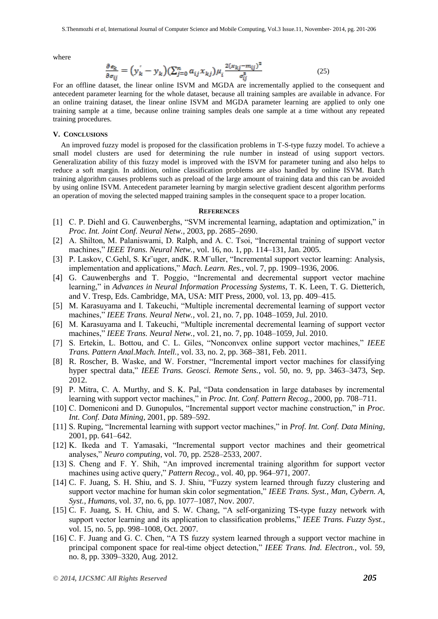where

$$
\frac{\partial \, \mathbf{e}_{k}}{\partial \, \mathbf{\sigma}_{ij}} = \big( \mathbf{y}_{k}^{\'} - \mathbf{y}_{k} \big) \big( \sum_{j=0}^{n} \, a_{ij} \, x_{kj} \big) \mu_{i} \frac{2(x_{kj} - m_{ij})^{2}}{\sigma_{ij}^{8}} \tag{25}
$$

For an offline dataset, the linear online ISVM and MGDA are incrementally applied to the consequent and antecedent parameter learning for the whole dataset, because all training samples are available in advance. For an online training dataset, the linear online ISVM and MGDA parameter learning are applied to only one training sample at a time, because online training samples deals one sample at a time without any repeated training procedures.

#### **V. CONCLUSIONS**

An improved fuzzy model is proposed for the classification problems in T-S-type fuzzy model. To achieve a small model clusters are used for determining the rule number in instead of using support vectors. Generalization ability of this fuzzy model is improved with the ISVM for parameter tuning and also helps to reduce a soft margin. In addition, online classification problems are also handled by online ISVM. Batch training algorithm causes problems such as preload of the large amount of training data and this can be avoided by using online ISVM. Antecedent parameter learning by margin selective gradient descent algorithm performs an operation of moving the selected mapped training samples in the consequent space to a proper location.

### **REFERENCES**

- [1] C. P. Diehl and G. Cauwenberghs, "SVM incremental learning, adaptation and optimization," in *Proc. Int. Joint Conf. Neural Netw.*, 2003, pp. 2685–2690.
- [2] A. Shilton, M. Palaniswami, D. Ralph, and A. C. Tsoi, "Incremental training of support vector machines," *IEEE Trans. Neural Netw.*, vol. 16, no. 1, pp. 114–131, Jan. 2005.
- [3] P. Laskov, C.Gehl, S. Kr uger, and K. R.M uller, "Incremental support vector learning: Analysis, implementation and applications," *Mach. Learn. Res.*, vol. 7, pp. 1909–1936, 2006.
- [4] G. Cauwenberghs and T. Poggio, "Incremental and decremental support vector machine learning," in *Advances in Neural Information Processing Systems*, T. K. Leen, T. G. Dietterich, and V. Tresp, Eds. Cambridge, MA, USA: MIT Press, 2000, vol. 13, pp. 409–415.
- [5] M. Karasuyama and I. Takeuchi, "Multiple incremental decremental learning of support vector machines," *IEEE Trans. Neural Netw.*, vol. 21, no. 7, pp. 1048–1059, Jul. 2010.
- [6] M. Karasuyama and I. Takeuchi, "Multiple incremental decremental learning of support vector machines," *IEEE Trans. Neural Netw.*, vol. 21, no. 7, pp. 1048–1059, Jul. 2010.
- [7] S. Ertekin, L. Bottou, and C. L. Giles, "Nonconvex online support vector machines," *IEEE Trans. Pattern Anal.Mach. Intell.*, vol. 33, no. 2, pp. 368–381, Feb. 2011.
- [8] R. Roscher, B. Waske, and W. Forstner, "Incremental import vector machines for classifying hyper spectral data," *IEEE Trans. Geosci. Remote Sens.*, vol. 50, no. 9, pp. 3463–3473, Sep. 2012.
- [9] P. Mitra, C. A. Murthy, and S. K. Pal, "Data condensation in large databases by incremental learning with support vector machines," in *Proc. Int. Conf. Pattern Recog.*, 2000, pp. 708–711.
- [10] C. Domeniconi and D. Gunopulos, "Incremental support vector machine construction," in *Proc. Int. Conf. Data Mining*, 2001, pp. 589–592.
- [11] S. Ruping, "Incremental learning with support vector machines," in *Prof. Int. Conf. Data Mining*, 2001, pp. 641–642.
- [12] K. Ikeda and T. Yamasaki, "Incremental support vector machines and their geometrical analyses," *Neuro computing*, vol. 70, pp. 2528–2533, 2007.
- [13] S. Cheng and F. Y. Shih, "An improved incremental training algorithm for support vector machines using active query," *Pattern Recog.*, vol. 40, pp. 964–971, 2007.
- [14] C. F. Juang, S. H. Shiu, and S. J. Shiu, "Fuzzy system learned through fuzzy clustering and support vector machine for human skin color segmentation," *IEEE Trans. Syst., Man, Cybern. A, Syst., Humans*, vol. 37, no. 6, pp. 1077–1087, Nov. 2007.
- [15] C. F. Juang, S. H. Chiu, and S. W. Chang, "A self-organizing TS-type fuzzy network with support vector learning and its application to classification problems," *IEEE Trans. Fuzzy Syst.*, vol. 15, no. 5, pp. 998–1008, Oct. 2007.
- [16] C. F. Juang and G. C. Chen, "A TS fuzzy system learned through a support vector machine in principal component space for real-time object detection," *IEEE Trans. Ind. Electron.*, vol. 59, no. 8, pp. 3309–3320, Aug. 2012.